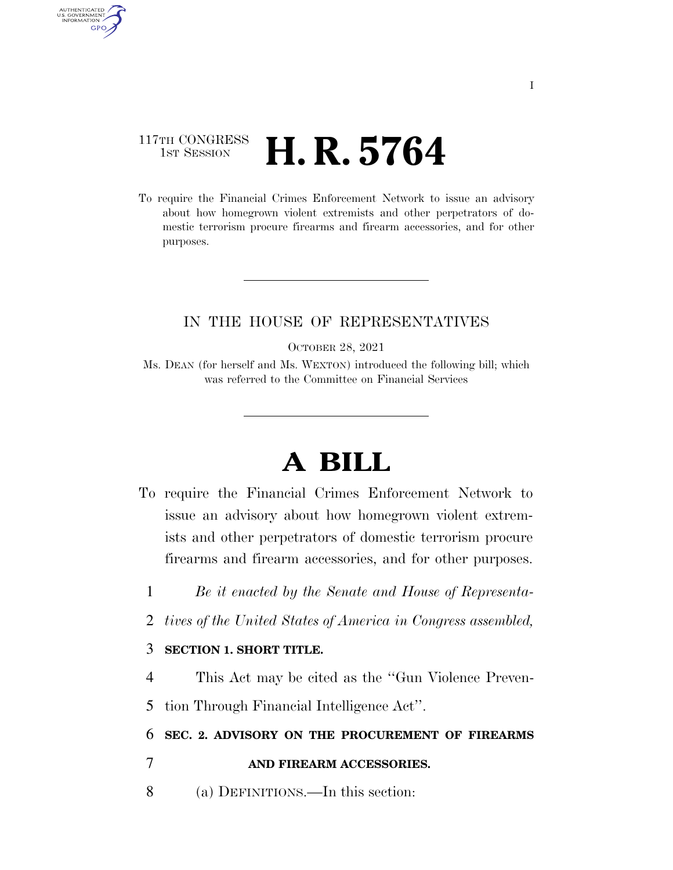## 117TH CONGRESS **1st Session H. R. 5764**

AUTHENTICATED U.S. GOVERNMENT **GPO** 

> To require the Financial Crimes Enforcement Network to issue an advisory about how homegrown violent extremists and other perpetrators of domestic terrorism procure firearms and firearm accessories, and for other purposes.

## IN THE HOUSE OF REPRESENTATIVES

OCTOBER 28, 2021

Ms. DEAN (for herself and Ms. WEXTON) introduced the following bill; which was referred to the Committee on Financial Services

## **A BILL**

- To require the Financial Crimes Enforcement Network to issue an advisory about how homegrown violent extremists and other perpetrators of domestic terrorism procure firearms and firearm accessories, and for other purposes.
	- 1 *Be it enacted by the Senate and House of Representa-*
	- 2 *tives of the United States of America in Congress assembled,*

## 3 **SECTION 1. SHORT TITLE.**

4 This Act may be cited as the ''Gun Violence Preven-

5 tion Through Financial Intelligence Act''.

6 **SEC. 2. ADVISORY ON THE PROCUREMENT OF FIREARMS** 

- 7 **AND FIREARM ACCESSORIES.**
- 8 (a) DEFINITIONS.—In this section: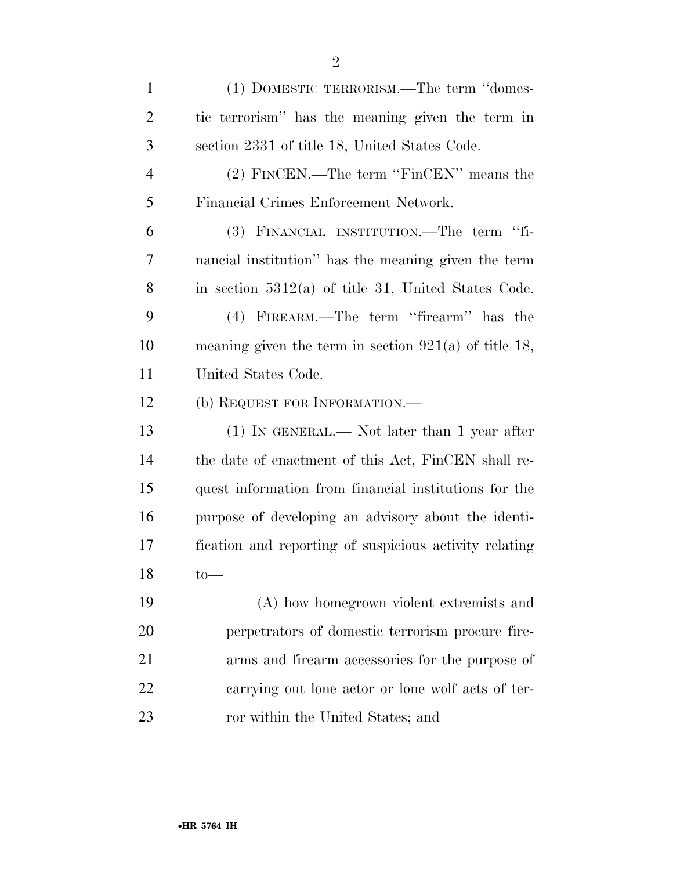| $\mathbf{1}$   | (1) DOMESTIC TERRORISM.—The term "domes-                |
|----------------|---------------------------------------------------------|
| $\overline{2}$ | tic terrorism" has the meaning given the term in        |
| 3              | section 2331 of title 18, United States Code.           |
| $\overline{4}$ | (2) FINCEN.—The term "FinCEN" means the                 |
| 5              | Financial Crimes Enforcement Network.                   |
| 6              | (3) FINANCIAL INSTITUTION.—The term "fi-                |
| 7              | nancial institution" has the meaning given the term     |
| 8              | in section $5312(a)$ of title 31, United States Code.   |
| 9              | (4) FIREARM.—The term "firearm" has the                 |
| 10             | meaning given the term in section $921(a)$ of title 18, |
| 11             | United States Code.                                     |
| 12             | (b) REQUEST FOR INFORMATION.—                           |
| 13             | $(1)$ IN GENERAL.— Not later than 1 year after          |
| 14             | the date of enactment of this Act, FinCEN shall re-     |
| 15             | quest information from financial institutions for the   |
| 16             | purpose of developing an advisory about the identi-     |
| 17             | fication and reporting of suspicious activity relating  |
| 18             | $_{\text{to}}$                                          |
| 19             | (A) how homegrown violent extremists and                |
| <b>20</b>      | perpetrators of domestic terrorism procure fire-        |
| 21             | arms and firearm accessories for the purpose of         |
| 22             | carrying out lone actor or lone wolf acts of ter-       |
| 23             | ror within the United States; and                       |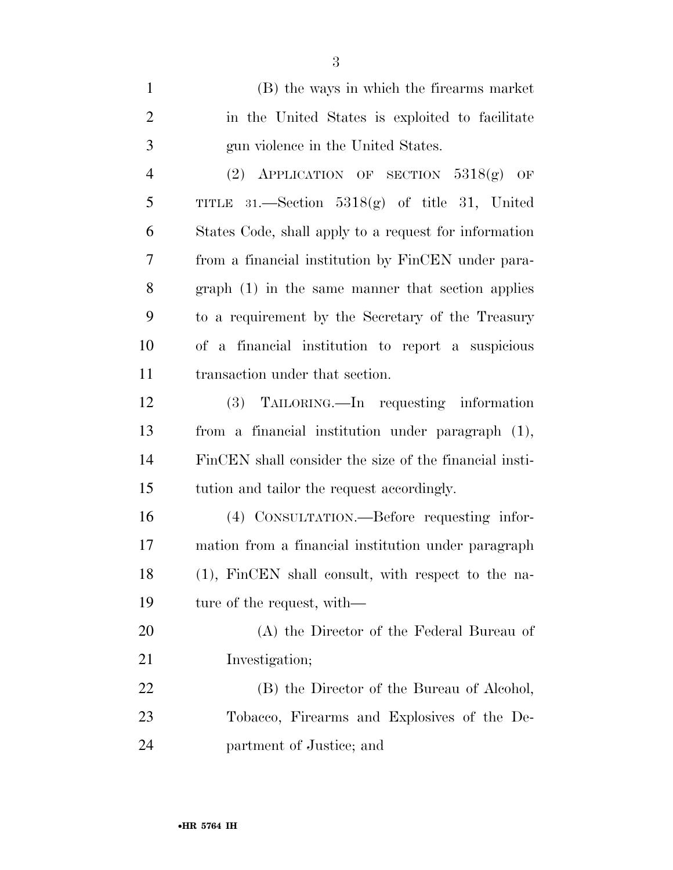| $\mathbf{1}$   | (B) the ways in which the firearms market              |
|----------------|--------------------------------------------------------|
| $\overline{2}$ | in the United States is exploited to facilitate        |
| 3              | gun violence in the United States.                     |
| $\overline{4}$ | (2) APPLICATION OF SECTION $5318(g)$ OF                |
| 5              | TITLE 31.—Section $5318(g)$ of title 31, United        |
| 6              | States Code, shall apply to a request for information  |
| 7              | from a financial institution by FinCEN under para-     |
| 8              | $graph(1)$ in the same manner that section applies     |
| 9              | to a requirement by the Secretary of the Treasury      |
| 10             | of a financial institution to report a suspicious      |
| 11             | transaction under that section.                        |
| 12             | (3) TAILORING.—In requesting information               |
| 13             | from a financial institution under paragraph (1),      |
| 14             | FinCEN shall consider the size of the financial insti- |
| 15             | tution and tailor the request accordingly.             |
| 16             | (4) CONSULTATION.—Before requesting infor-             |
| 17             | mation from a financial institution under paragraph    |
| 18             | (1), FinCEN shall consult, with respect to the na-     |
| 19             | ture of the request, with—                             |
| 20             | (A) the Director of the Federal Bureau of              |
| 21             | Investigation;                                         |
| 22             | (B) the Director of the Bureau of Alcohol,             |
| 23             | Tobacco, Firearms and Explosives of the De-            |
| 24             | partment of Justice; and                               |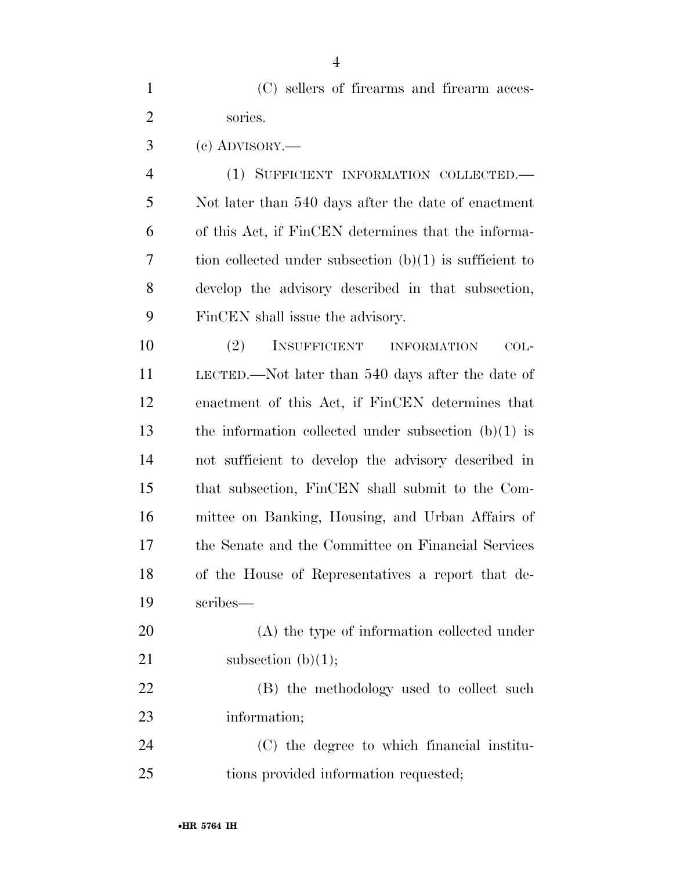(C) sellers of firearms and firearm acces-sories.

(c) ADVISORY.—

 (1) SUFFICIENT INFORMATION COLLECTED.— Not later than 540 days after the date of enactment of this Act, if FinCEN determines that the informa- tion collected under subsection (b)(1) is sufficient to develop the advisory described in that subsection, FinCEN shall issue the advisory.

 (2) INSUFFICIENT INFORMATION COL- LECTED.—Not later than 540 days after the date of enactment of this Act, if FinCEN determines that the information collected under subsection (b)(1) is not sufficient to develop the advisory described in that subsection, FinCEN shall submit to the Com- mittee on Banking, Housing, and Urban Affairs of the Senate and the Committee on Financial Services of the House of Representatives a report that de-scribes—

 (A) the type of information collected under 21 subsection  $(b)(1)$ ;

 (B) the methodology used to collect such information;

 (C) the degree to which financial institu-tions provided information requested;